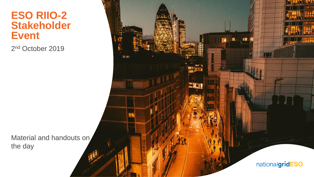# **ESO RIIO-2 Stakeholder Event**

2<sup>nd</sup> October 2019

Material and handouts on the day

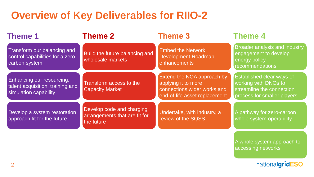# **Overview of Key Deliverables for RIIO-2**

| <b>Theme 1</b>                                                                         | <b>Theme 2</b>                                                           | <b>Theme 3</b>                                                                                                    | <b>Theme 4</b>                                                                                                       |
|----------------------------------------------------------------------------------------|--------------------------------------------------------------------------|-------------------------------------------------------------------------------------------------------------------|----------------------------------------------------------------------------------------------------------------------|
| Transform our balancing and<br>control capabilities for a zero-<br>carbon system       | Build the future balancing and<br>wholesale markets                      | <b>Embed the Network</b><br><b>Development Roadmap</b><br>enhancements                                            | Broader analysis and industry<br>engagement to develop<br>energy policy<br><b>recommendations</b>                    |
| Enhancing our resourcing,<br>talent acquisition, training and<br>simulation capability | Transform access to the<br><b>Capacity Market</b>                        | Extend the NOA approach by<br>applying it to more<br>connections wider works and<br>end-of-life asset replacement | <b>Established clear ways of</b><br>working with DNOs to<br>streamline the connection<br>process for smaller players |
| Develop a system restoration<br>approach fit for the future                            | Develop code and charging<br>arrangements that are fit for<br>the future | Undertake, with industry, a<br>review of the SQSS                                                                 | A pathway for zero-carbon<br>whole system operability                                                                |
|                                                                                        |                                                                          |                                                                                                                   | A whole system approach to<br>accessing networks                                                                     |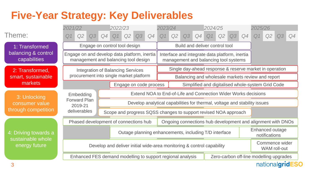# **Five-Year Strategy: Key Deliverables**

|                                     | 2021/22                                                               | 2022/23                                                                              | 2023/24                                                                   | 2024/25                                                                                 | 2025/26                                 |
|-------------------------------------|-----------------------------------------------------------------------|--------------------------------------------------------------------------------------|---------------------------------------------------------------------------|-----------------------------------------------------------------------------------------|-----------------------------------------|
| Theme:                              | Q2<br>Q3<br>Q <sub>1</sub>                                            | Q2<br>Q4<br>Q <sub>1</sub><br>Q4<br>Q3                                               | Q2<br>Q <sub>1</sub><br>Q3<br>Q4                                          | Q2<br>Q4<br>Q <sub>1</sub><br>Q3                                                        | Q <sub>1</sub><br>Q2<br>Q4              |
| 1: Transformed                      |                                                                       | Engage on control tool design                                                        |                                                                           | Build and deliver control tool                                                          |                                         |
| balancing & control<br>capabilities |                                                                       | Engage on and develop data platform, inertia<br>management and balancing tool design |                                                                           | Interface and integrate data platform, inertia<br>management and balancing tool systems |                                         |
| 2: Transformed,                     |                                                                       | <b>Integration of Balancing Services</b>                                             |                                                                           | Single day-ahead response & reserve market in operation                                 |                                         |
| smart, sustainable                  |                                                                       | procurement into single market platform                                              |                                                                           | Balancing and wholesale markets review and report                                       |                                         |
| markets                             |                                                                       | Engage on code process                                                               |                                                                           | Simplified and digitalised whole-system Grid Code                                       |                                         |
| 3: Unlocking                        | Embedding                                                             |                                                                                      | Extend NOA to End-of-Life and Connection Wider Works decisions            |                                                                                         |                                         |
| consumer value                      | <b>Forward Plan</b><br>2019-21                                        |                                                                                      | Develop analytical capabilities for thermal, voltage and stability issues |                                                                                         |                                         |
| through competition                 | deliverables                                                          |                                                                                      | Scope and progress SQSS changes to support revised NOA approach           |                                                                                         |                                         |
|                                     |                                                                       | Phased development of connections hub                                                |                                                                           | Ongoing connections hub development and alignment with DNOs                             |                                         |
| 4: Driving towards a                |                                                                       |                                                                                      | Outage planning enhancements, including T/D interface                     |                                                                                         | Enhanced outage<br>notifications        |
| sustainable whole<br>energy future  | Develop and deliver initial wide-area monitoring & control capability |                                                                                      |                                                                           |                                                                                         | Commence wider<br><b>WAM</b> roll-out   |
|                                     |                                                                       | Enhanced FES demand modelling to support regional analysis                           |                                                                           |                                                                                         | Zero-carbon off-line modelling upgrades |
|                                     |                                                                       |                                                                                      |                                                                           |                                                                                         | nationalgrid<br><b>SO</b>               |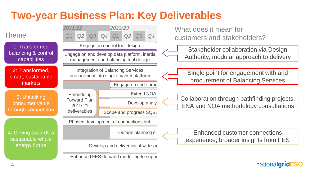# **Two-year Business Plan: Key Deliverables**

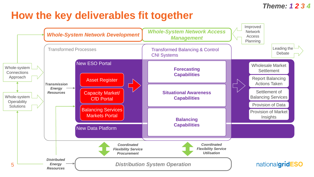#### *Theme: 1 2 3 4*

# **How the key deliverables fit together**

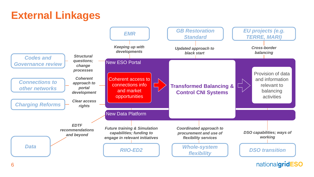# **External Linkages**



nationalgridESO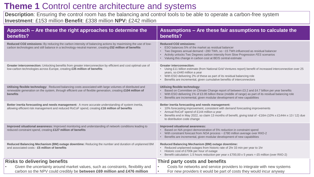## **Theme 1** Control centre architecture and systems

**Description**: Ensuring the control room has the balancing and control tools to be able to operate a carbon-free system **Investment**: £153 million **Benefit**: £338 million **NPV:** £242 million

| Approach – Are these the right approaches to determine the<br>benefits?                                                                                                                                                                  | Assumptions – Are these fair assumptions to calculate the<br>benefits?                                                                                                                                                                                                                                                                                  |
|------------------------------------------------------------------------------------------------------------------------------------------------------------------------------------------------------------------------------------------|---------------------------------------------------------------------------------------------------------------------------------------------------------------------------------------------------------------------------------------------------------------------------------------------------------------------------------------------------------|
| Reduced CO2 emissions: By reducing the carbon intensity of balancing actions by maximising the use of low-<br>carbon technologies and still balance in a technology-neutral manner, creating £52 million of benefits                     | <b>Reduced CO2 emissions:</b><br>ESO balances 5% of the market as residual balancer<br>Two Degrees annual demand ~280 TWh, so ~15 TWh influenced as residual balancer<br>$\bullet$<br>Activity unlocks Two Degrees carbon intensity from Slow Progression FES scenarios<br>$\bullet$ .<br>• Valuing this change in carbon cost at BEIS central estimate |
| Greater interconnection: Unlocking benefits from greater interconnection by efficient and cost optimal use of<br>low-carbon technologies across Europe, creating £35 million of benefits                                                 | <b>Greater interconnection:</b><br>• Using £11 billion estimate (from National Grid Ventures report) benefit of increased interconnection over 25<br>years, so £440 million a year<br>• With ESO delivering 2% of these as part of its residual balancing role<br>Benefits are incremental, given cumulative benefits of interconnectors                |
| Utilising flexible technology: Reduced balancing costs associated with large volumes of distributed and<br>renewable generation on the system, through efficient use of flexible generation, creating £104 million of<br><b>benefits</b> | <b>Utilising flexible technology:</b><br>Based on Committee on Climate Change report of between £3.2 and £4.7 billion per year benefits<br>$\bullet$<br>With ESO delivering 1% of £3.95 billion these (middle of range) as part of its residual balancing role<br>Benefits are incremental, given modular development of new capabilities               |
| Better inertia forecasting and needs management: A more accurate understanding of system inertia,<br>allowing efficient risk management and reduced RoCoF spend, creating £16 million of benefits                                        | Better inertia forecasting and needs management:<br>• 10% forecasting improvement, consistent with demand forecasting improvements<br>Annual RoCoF spend of £144 million a year<br>Benefits end in May 2022, so claim 13 months of benefit, giving total of ~£16m (10% x £144m x 13 / 12) due<br>to distribution code change                            |
| Improved situational awareness: Improved monitoring and understanding of network conditions leading to<br>reduced constraint spend, creating £127 million of benefits                                                                    | <b>Improved situational awareness:</b><br>Based on NIA project demonstration of 5% reduction in constraint spend<br>With constraint forecast from NOA process ~ £780 million average over RIIO-2<br>Benefits are incremental, given modular development of new capabilities                                                                             |
| Reduced Balancing Mechanism (BM) outage downtime: Reducing the number and duration of unplanned BM<br>and associated costs - £5 million of benefits                                                                                      | <b>Reduced Balancing Mechanism (BM) outage downtime:</b><br>Reduced unplanned outages from historic rate of 2hr 33 min per year to 1hr<br>Historic cost of £700k per hour of outage<br>Benefit calculation: 1.5 hours reduction per year x £700,00 x 5 years = £5 million (over RIIO-2)                                                                 |
| <b>Risks to delivering benefits</b><br>Given the uncertainty around market values, such as constraints, flexibility and<br>carbon so the NPV could credibly be between £69 million and £476 million                                      | Third party costs and benefits<br>Costs for networks and service providers to integrate with new systems<br>$\bullet$<br>For new providers it would be part of costs they would incur anyway                                                                                                                                                            |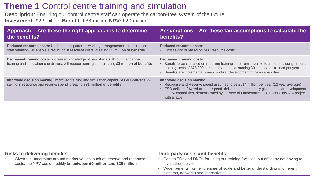# **Theme 1** Control centre training and simulation

**Description**: Ensuring our control centre staff can operate the carbon-free system of the future **Investment**: £22 million **Benefit**: £38 million **NPV:** £20 million

| Approach – Are these the right approaches to determine                                                                                                                                    | Assumptions - Are these fair assumptions to calculate the                                                                                                                                                                                                                                                            |
|-------------------------------------------------------------------------------------------------------------------------------------------------------------------------------------------|----------------------------------------------------------------------------------------------------------------------------------------------------------------------------------------------------------------------------------------------------------------------------------------------------------------------|
| the benefits?                                                                                                                                                                             | benefits?                                                                                                                                                                                                                                                                                                            |
| Reduced resource costs: Updated shift patterns, working arrangements and increased                                                                                                        | Reduced resource costs:                                                                                                                                                                                                                                                                                              |
| staff retention will enable a reduction in resource costs, creating £5 million of benefits.                                                                                               | • Cost saving is based on past resource costs                                                                                                                                                                                                                                                                        |
| <b>Decreased training costs:</b> increased knowledge of new starters, through enhanced<br>training and simulation capabilities, will reduce training time creating £3 million of benefits | <b>Decreased training costs:</b><br>Benefit forecast based on reducing training time from seven to four months, using historic<br>training costs of £75,000 per candidate and assuming 30 candidates trained per year<br>• Benefits are incremental, given modular development of new capabilities                   |
| Improved decision making: improved training and simulation capabilities will deliver a 2%<br>saving in response and reserve spend, creating £31 million of benefits                       | Improved decision making:<br>Response and Reserve spend assumed to be £514 million per year (12 year average)<br>• ESO delivers 2% reduction in spend, delivered incrementally given modular development<br>of new capabilities, demonstrated by delivery of Mathematics and uncertainty NIA project<br>with Brattle |

| <b>Risks to delivering benefits</b>                                      | Third party costs and benefits                                                      |
|--------------------------------------------------------------------------|-------------------------------------------------------------------------------------|
| Given the uncertainty around market values, such as reserve and response | Cost to TOs and DNOs for using our training facilities, but offset by not having to |
| costs, the NPV could credibly be between £0 million and £35 million      | invest themselves                                                                   |
|                                                                          | Wider benefits from efficiencies of scale and better understanding of different     |
|                                                                          | systems, networks and interactions                                                  |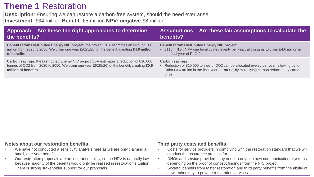## **Theme 1** Restoration

**Description**: Ensuring we can restore a carbon-free system, should the need ever arise **Investment**: £34 million **Benefit**: £5 million **NPV: negative** £8 million

| Approach – Are these the right approaches to determine                                                                                                                                                              | $\overline{a}$ Assumptions – Are these fair assumptions to calculate the $\overline{a}$                                                                                                                               |
|---------------------------------------------------------------------------------------------------------------------------------------------------------------------------------------------------------------------|-----------------------------------------------------------------------------------------------------------------------------------------------------------------------------------------------------------------------|
| the benefits?                                                                                                                                                                                                       | benefits?                                                                                                                                                                                                             |
| Benefits from Distributed Energy NIC project: the project CBA estimates an NPV of £115                                                                                                                              | <b>Benefits from Distributed Energy NIC project:</b>                                                                                                                                                                  |
| million from 2025 to 2050. We claim one year (2025/26) of the benefit, creating £4.6 million                                                                                                                        | £115 million NPV can be allocated evenly per year, allowing us to claim £4.6 million in                                                                                                                               |
| of benefits                                                                                                                                                                                                         | the final year of RIIO-2                                                                                                                                                                                              |
| <b>Carbon savings:</b> the Distributed Energy NIC project CBA estimates a reduction of 810,000<br>tonnes of CO2 from 2025 to 2050. We claim one year (2025/26) of the benefit, creating £0.6<br>million of benefits | <b>Carbon savings</b><br>• Reduction of 810,000 tonnes of CO2 can be allocated evenly per year, allowing us to<br>claim £0.6 million in the final year of RIIO-2, by multiplying carbon reduction by carbon<br>price. |

| Notes about our restoration benefits |                                                                                                                                                                                                                                                                                                                                           | Third party costs and benefits                                                                                                                                                                                                                                                                                                                                       |  |
|--------------------------------------|-------------------------------------------------------------------------------------------------------------------------------------------------------------------------------------------------------------------------------------------------------------------------------------------------------------------------------------------|----------------------------------------------------------------------------------------------------------------------------------------------------------------------------------------------------------------------------------------------------------------------------------------------------------------------------------------------------------------------|--|
|                                      | We have not conducted a sensitivity analysis here as we are only claiming a<br>small, one-year benefit.<br>Our restoration proposals are an insurance policy, so the NPV is naturally low,<br>because majority of the benefits would only be realised in restoration situation.<br>There is strong stakeholder support for our proposals. | Costs for service providers in complying with the restoration standard that we will<br>conduct the assurance process for<br>DNOs and service providers may need to develop new communications systems,<br>depending on the proof of concept findings from the NIC project.<br>Societal benefits from faster restoration and third party benefits from the ability of |  |
|                                      |                                                                                                                                                                                                                                                                                                                                           | new technology to provide restoration services.                                                                                                                                                                                                                                                                                                                      |  |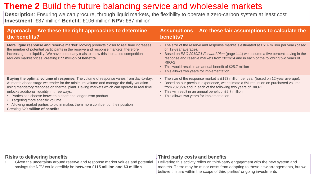# **Theme 2** Build the future balancing service and wholesale markets

**Description**: Ensuring we can procure, through liquid markets, the flexibility to operate a zero-carbon system at least cost **Investment**: £37 million **Benefit**: £106 million **NPV:** £67 million

| Approach - Are these the right approaches to determine<br>the benefits?                                                                                                                                                                                                                                                                                                                                                                                                                                                                               | Assumptions - Are these fair assumptions to calculate the<br>benefits?                                                                                                                                                                                                                                                                                                                                                          |
|-------------------------------------------------------------------------------------------------------------------------------------------------------------------------------------------------------------------------------------------------------------------------------------------------------------------------------------------------------------------------------------------------------------------------------------------------------------------------------------------------------------------------------------------------------|---------------------------------------------------------------------------------------------------------------------------------------------------------------------------------------------------------------------------------------------------------------------------------------------------------------------------------------------------------------------------------------------------------------------------------|
| More liquid response and reserve market: Moving products closer to real time increases<br>the number of potential participants in the reserve and response markets, therefore<br>increasing their liquidity. We have used early trials to show this increased competition<br>reduces market prices, creating £77 million of benefits                                                                                                                                                                                                                  | • The size of the reserve and response market is estimated at £514 million per year (based<br>on 12-year average).<br>• Based on <i>ESO 2019/21 Forward Plan</i> (page 111) we assume a five percent saving in the<br>response and reserve markets from 2023/24 and in each of the following two years of<br>RIIO-2<br>• This would result in an annual benefit of £25.7 million<br>• This allows two years for implementation. |
| Buying the optimal volume of response: The volume of response varies from day-to-day.<br>At month ahead stage we tender for the minimum volume and manage the daily variation<br>using mandatory response on thermal plant. Having markets which can operate in real time<br>unlocks additional liquidity in three ways:<br>• Parties can choose between a short and longer-term product.<br>• Targeting more specific volume.<br>• Allowing market parties to bid in makes them more confident of their position<br>Creating £29 million of benefits | • The size of the response market is £193 million per year (based on 12-year average).<br>• Based on our previous experience, we estimate a 5% reduction on purchased volume<br>from 2023/24 and in each of the following two years of RIIO-2<br>• This will result in an annual benefit of £9.7 million.<br>• This allows two years for implementation.                                                                        |

| <b>Risks to delivering benefits</b> |                                                                       | Third party costs and benefits                                                                                                                                                                                                                                                                                                  |  |
|-------------------------------------|-----------------------------------------------------------------------|---------------------------------------------------------------------------------------------------------------------------------------------------------------------------------------------------------------------------------------------------------------------------------------------------------------------------------|--|
|                                     | savings the NPV could credibly be between £115 million and £3 million | Given the uncertainty around reserve and response market values and potential Delivering this activity relies on third-party engagement with the new system and<br>markets. There may be minor costs from adapting to these new arrangements, but we<br>believe this are within the scope of third parties' ongoing investments |  |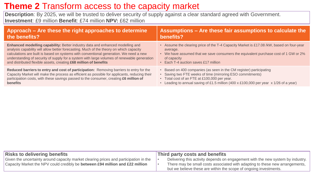## **Theme 2** Transform access to the capacity market

**Description**: By 2025, we will be trusted to deliver security of supply against a clear standard agreed with Government. **Investment**: £9 million **Benefit**: £74 million **NPV:** £62 million

| Approach – Are these the right approaches to determine                                        | Assumptions – Are these fair assumptions to calculate the                                |
|-----------------------------------------------------------------------------------------------|------------------------------------------------------------------------------------------|
| the benefits?                                                                                 | benefits?                                                                                |
| Enhanced modelling capability: Better industry data and enhanced modelling and                | • Assume the clearing price of the T-4 Capacity Market is £17.08 /kW, based on four-year |
| analysis capability will allow better forecasting. Much of the theory on which capacity       | average.                                                                                 |
| calculations are built is based on systems with conventional generation. We need a new        | • We have assumed that we save consumers the equivalent purchase cost of 1 GW or 2%      |
| understanding of security of supply for a system with large volumes of renewable generation   | of capacity                                                                              |
| and distributed flexible assets, creating £68 million of benefits                             | • Each T-4 auction saves £17 million                                                     |
| Reduced barriers to entry and cost of participation: Removing barriers to entry for the       | • Based on 400 companies (as seen in the CM register) participating                      |
| Capacity Market will make the process as efficient as possible for applicants, reducing their | • Saving two FTE weeks of time (mirroring ESO commitments)                               |
| participation costs, with these savings passed to the consumer, creating £6 million of        | • Total cost of an FTE at £100,000 per year.                                             |
| benefits                                                                                      | Leading to annual saving of £1.5 million (400 x £100,000 per year x 1/26 of a year)      |

| <b>Risks to delivering benefits</b>                                                                                                                                    | Third party costs and benefits                                                                                                                                                                                                       |
|------------------------------------------------------------------------------------------------------------------------------------------------------------------------|--------------------------------------------------------------------------------------------------------------------------------------------------------------------------------------------------------------------------------------|
| Given the uncertainty around capacity market clearing prices and participation in the<br>Capacity Market the NPV could credibly be between £94 million and £22 million | Delivering this activity depends on engagement with the new system by industry.<br>There may be small costs associated with adapting to these new arrangements,<br>but we believe these are within the scope of ongoing investments. |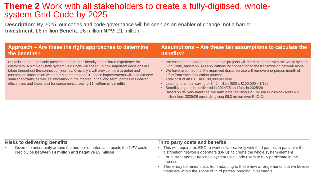### **Theme 2** Work with all stakeholders to create a fully-digitised, wholesystem Grid Code by 2025

**Description**: By 2025, our codes and code governance will be seen as an enabler of change, not a barrier **Investment**: £6 million **Benefit**: £6 million **NPV:** £1 million

| Approach – Are these the right approaches to determine                                                                                                                                                                                                                                                                                                                                                                                                                                                                                          | Assumptions - Are these fair assumptions to calculate the                                                                                                                                                                                                                                                                                                                                                                                                                                                                                                                                                                                                                         |
|-------------------------------------------------------------------------------------------------------------------------------------------------------------------------------------------------------------------------------------------------------------------------------------------------------------------------------------------------------------------------------------------------------------------------------------------------------------------------------------------------------------------------------------------------|-----------------------------------------------------------------------------------------------------------------------------------------------------------------------------------------------------------------------------------------------------------------------------------------------------------------------------------------------------------------------------------------------------------------------------------------------------------------------------------------------------------------------------------------------------------------------------------------------------------------------------------------------------------------------------------|
| the benefits?                                                                                                                                                                                                                                                                                                                                                                                                                                                                                                                                   | benefits?                                                                                                                                                                                                                                                                                                                                                                                                                                                                                                                                                                                                                                                                         |
| Digitalising the Grid Code provides a more user-friendly and tailored experience for<br>customers. A simpler whole system Grid Code will speed up how important decisions are<br>taken throughout the connection journey. Crucially it will provide more targeted and<br>customised information when our customers need it. These improvements will also aid new<br>smaller entrants, as well as innovation in the market. In the long term, parties will deliver<br>efficiencies and lower cost for consumers, creating £6 million of benefits | • We estimate on average 500 potential projects will need to interact with the whole system<br>Grid Code, based on 393 applications for connection to the transmission network alone.<br>• We have assumed that the improved digital service will remove one-person month of<br>effort from each application process<br>• Total cost of an FTE at £100,000 per year.<br>Leading to annual saving of £4.2 million $(500 \times £100,000 \times 1/12)$<br>Benefits begin to be delivered in 2024/25 and fully in 2025/26<br>Based on delivery timelines, we anticipate realising £2.1 million in 2024/25 and £4.2<br>million from 2025/26 onwards, giving £6.3 million over RIIO-2. |

| <b>Risks to delivering benefits</b> |                                                                                                                                       | Third party costs and benefits |                                                                                                                                                                                                                                                                                                                                                                                                                             |  |
|-------------------------------------|---------------------------------------------------------------------------------------------------------------------------------------|--------------------------------|-----------------------------------------------------------------------------------------------------------------------------------------------------------------------------------------------------------------------------------------------------------------------------------------------------------------------------------------------------------------------------------------------------------------------------|--|
|                                     | Given the uncertainty around the number of potential projects the NPV could<br>credibly be between £4 million and negative £3 million |                                | This will require the ESO to work collaboratively with third parties, in particular the<br>distribution networks operators (DNO) to create the whole system element<br>For current and future whole system Grid Code users to fully participate in the<br>process.<br>There may be minor costs from adapting to these new arrangements, but we believe<br>these are within the scope of third parties' ongoing investments. |  |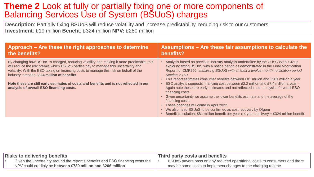### **Theme 2** Look at fully or partially fixing one or more components of Balancing Services Use of System (BSUoS) charges

**Description**: Partially fixing BSUoS will reduce volatility and increase predictability, reducing risk to our customers **Investment**: £19 million **Benefit**: £324 million **NPV:** £280 million

| Approach – Are these the right approaches to determine                                                                                                                                                                                                                                                                                                                                                                                                           | Assumptions - Are these fair assumptions to calculate the                                                                                                                                                                                                                                                                                                                                                                                                                                                                                                                                                                                                                                                                                                                                                                                                                                                   |
|------------------------------------------------------------------------------------------------------------------------------------------------------------------------------------------------------------------------------------------------------------------------------------------------------------------------------------------------------------------------------------------------------------------------------------------------------------------|-------------------------------------------------------------------------------------------------------------------------------------------------------------------------------------------------------------------------------------------------------------------------------------------------------------------------------------------------------------------------------------------------------------------------------------------------------------------------------------------------------------------------------------------------------------------------------------------------------------------------------------------------------------------------------------------------------------------------------------------------------------------------------------------------------------------------------------------------------------------------------------------------------------|
| the benefits?                                                                                                                                                                                                                                                                                                                                                                                                                                                    | benefits?                                                                                                                                                                                                                                                                                                                                                                                                                                                                                                                                                                                                                                                                                                                                                                                                                                                                                                   |
| By changing how BSUoS is charged, reducing volatility and making it more predictable, this<br>will reduce the risk premia which BSUoS parties pay to manage this uncertainty and<br>volatility. With the ESO taking on financing costs to manage this risk on behalf of the<br>industry, creating £324 million of benefits<br>Note these are still early estimates of costs and benefits and is not reflected in our<br>analysis of overall ESO financing costs. | Analysis based on previous industry analysis undertaken by the CUSC Work Group<br>exploring fixing BSUoS with a notice period as demonstrated in the Final Modification<br>Report for CMP250, stabilising BSUoS with at least a twelve-month notification period,<br><b>Section 2.163</b><br>• This report estimates consumer benefits between £81 million and £201 million a year<br>ESO analysis suggests financing cost between £2.2 million and £7.4 million a year $-$<br>Again note these are early estimates and not reflected in our analysis of overall ESO<br>financing costs.<br>• Given uncertainty we assume the lower benefits estimate and the average of the<br>financing costs<br>• These changes will come in April 2022<br>• We also need BSUoS to be confirmed as cost recovery by Ofgem<br>Benefit calculation: £81 million benefit per year x 4 years delivery = £324 million benefit |

| <b>Risks to delivering benefits</b>                                            | <b>Third party costs and benefits</b>                                     |  |  |  |
|--------------------------------------------------------------------------------|---------------------------------------------------------------------------|--|--|--|
| Given the uncertainty around the report's benefits and ESO financing costs the | BSUoS payers pass on any reduced operational costs to consumers and there |  |  |  |
| NPV could credibly be between £730 million and £206 million                    | may be some costs to implement changes to the charging regime.            |  |  |  |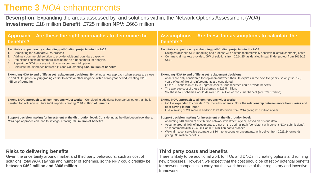### **Theme 3** *NOA* enhancements

**Description**: Expanding the areas assessed by, and solutions within, the Network Options Assessment (*NOA*) **Investment**: £18 million **Benefit**: £725 million **NPV:** £663 million

| Approach – Are these the right approaches to determine the<br>benefits?                                                                                                                                                                                                                                                                                                                                                                   | Assumptions – Are these fair assumptions to calculate the<br>benefits?                                                                                                                                                                                                                                                                                                                                                                                                                      |
|-------------------------------------------------------------------------------------------------------------------------------------------------------------------------------------------------------------------------------------------------------------------------------------------------------------------------------------------------------------------------------------------------------------------------------------------|---------------------------------------------------------------------------------------------------------------------------------------------------------------------------------------------------------------------------------------------------------------------------------------------------------------------------------------------------------------------------------------------------------------------------------------------------------------------------------------------|
| Facilitate competition by embedding pathfinding projects into the NOA:<br>Completing the standard NOA process<br>Adding a commercial solution to provide additional boundary capacity<br>Use historic costs of commercial solutions as a benchmark for analysis<br>3.<br>Repeat the NOA process with this extra commercial option<br>$\overline{4}$<br>5. Calculate the difference between (1) and (4), creating £429 million of benefits | Facilitate competition by embedding pathfinding projects into the NOA:<br>• Using established NOA modeling and process with historic (commercially sensitive bilateral contracts) costs<br>• Commercial markets provide 1 GW of solutions from 2024/25, as detailed in pathfinder project from 2018/19<br>NOA.                                                                                                                                                                              |
| Extending NOA to end of life asset replacement decisions: By taking a new approach when assets are close<br>to end of life, potentially upgrading earlier to avoid another upgrade within a five-year period, creating £118<br>million of benefits                                                                                                                                                                                        | Extending NOA to end of life asset replacement decisions:<br>• Assets are only considered for replacement when their life expires in the next five years, so only 12.5% (5<br>years of out of 40) of reinforcements are considered.<br>• Of the 36 options in NOA to upgrade assets, four schemes could provide benefits.<br>• The average cost of these 36 schemes is £29.5 million.<br>• So, these four schemes would deliver £118 million of consumer benefit $(4 \times £29.5$ million) |
| Extend NOA approach to all connections wider works: Considering additional boundaries, other than bulk<br>transfer, for inclusion in future NOA reports, creating £148 million of benefits                                                                                                                                                                                                                                                | <b>Extend NOA approach to all connections wider works:</b><br>• NOA is expanded to consider 10% more boundaries. Note the relationship between more boundaries and<br>cost saving is not linear<br>• Use a saving of 2% more in addition to £1.85 billion from NOA giving £37 million a year.                                                                                                                                                                                               |
| Support decision making for investment at the distribution level: Considering at the distribution level that a<br>NOA type approach can lead to savings, creating £30 million of benefits                                                                                                                                                                                                                                                 | Support decision making for investment at the distribution level:<br>• Assuming £40 million of distribution network investment a year, based on historic data<br>• Assume around 40% of investments are not on the optimal path (consistent with current NOA submissions),<br>so recommend 40% x £40 million = £16 million not to proceed<br>• We claim a conservative estimate of £10m to account for uncertainty, with deliver from 2023/24 onwards<br>giving £30 million benefits        |
|                                                                                                                                                                                                                                                                                                                                                                                                                                           |                                                                                                                                                                                                                                                                                                                                                                                                                                                                                             |
| <b>Risks to delivering benefits</b><br>Given the uncertainty around market and third party behaviours, such as cost of<br>solutions, total NOA savings and number of schemes, so the NPV could credibly be<br>between £462 million and £906 million                                                                                                                                                                                       | Third party costs and benefits<br>There is likely to be additional work for TOs and DNOs in creating options and running<br>new processes. However, we expect that the cost should be offset by potential benefits<br>for network companies to carry out this work because of their regulatory and incentive                                                                                                                                                                                |

frameworks.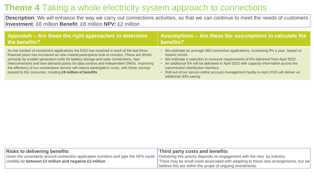# **Theme 4** Taking a whole electricity system approach to connections

**Description**: We will enhance the way we carry out connections activities, so that we can continue to meet the needs of customers **Investment**: £6 million **Benefit**: £8 million **NPV:** £2 million

| Approach – Are these the right approaches to determine                                                                                                                                                                                                                                                                                                                                                                                                                                                                              | $\vert$ Assumptions – Are these fair assumptions to calculate the                                                                                                                                                                                                                                                                                                                                                                                   |
|-------------------------------------------------------------------------------------------------------------------------------------------------------------------------------------------------------------------------------------------------------------------------------------------------------------------------------------------------------------------------------------------------------------------------------------------------------------------------------------------------------------------------------------|-----------------------------------------------------------------------------------------------------------------------------------------------------------------------------------------------------------------------------------------------------------------------------------------------------------------------------------------------------------------------------------------------------------------------------------------------------|
| the benefits?                                                                                                                                                                                                                                                                                                                                                                                                                                                                                                                       | benefits?                                                                                                                                                                                                                                                                                                                                                                                                                                           |
| As the number of connection applications the ESO has received in each of the last three<br>financial years has increased as new market participants look to connect. These are driven<br>primarily by smaller generation units for battery storage and solar connections, new<br>interconnectors and new demand points for data centres and independent DNOs. Improving<br>the efficiency of our connections service will reduce participation costs, with these savings<br>passed to the consumer, creating £8 million of benefits | • We estimate on average 460 connection applications, increasing 8% a year, based on<br>historic trends<br>• We estimate a reduction in resource requirements of 5% delivered from April 2022.<br>An additional 5% will be delivered in April 2022 with capacity information across the<br>transmission-distribution interface.<br>Roll-out of our secure online account management facility in April 2025 will deliver an<br>additional 30% saving |

| <b>Risks to delivering benefits</b>                                                                                                                         | Third party costs and benefits                                                      |  |  |  |
|-------------------------------------------------------------------------------------------------------------------------------------------------------------|-------------------------------------------------------------------------------------|--|--|--|
| Given the uncertainty around connection application numbers and type the NPV could Delivering this activity depends on engagement with the new by industry. |                                                                                     |  |  |  |
| credibly be between £3 million and negative £2 million                                                                                                      | There may be small costs associated with adapting to these new arrangements, but we |  |  |  |
|                                                                                                                                                             | believe this are within the scope of ongoing investments.                           |  |  |  |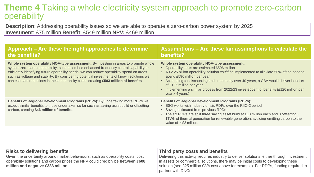### **Theme 4** Taking a whole electricity system approach to promote zero-carbon operability

**Description**: Addressing operability issues so we are able to operate a zero-carbon power system by 2025 **Investment**: £75 million **Benefit**: £549 million **NPV:** £469 million

| Approach – Are these the right approaches to determine<br>the benefits?                                                                                                                                                                                                                                                                                                                                                                                            | Assumptions - Are these fair assumptions to calculate the<br>benefits?                                                                                                                                                                                                                                                                                                                                                                                                                      |
|--------------------------------------------------------------------------------------------------------------------------------------------------------------------------------------------------------------------------------------------------------------------------------------------------------------------------------------------------------------------------------------------------------------------------------------------------------------------|---------------------------------------------------------------------------------------------------------------------------------------------------------------------------------------------------------------------------------------------------------------------------------------------------------------------------------------------------------------------------------------------------------------------------------------------------------------------------------------------|
| Whole system operability NOA-type assessment: By investing in areas to promote whole<br>system zero-carbon operability, such as embed enhanced frequency control capability or<br>efficiently identifying future operability needs, we can reduce operability spend on areas<br>such as voltage and stability. By considering potential investments of known solutions we<br>can estimate reductions in these operability costs, creating £503 million of benefits | Whole system operability NOA-type assessment:<br>• Operability costs are estimated £596 million<br>• A £2.25 billion operability solution could be implemented to alleviate 50% of the need to<br>spend £596 million per year.<br>Accounting for discounting and uncertainty over 40 years, a CBA would deliver benefits<br>$\bullet$<br>of £126 million per year.<br>Implementing a similar process from 2022/23 gives £503m of benefits (£126 million per<br>$\bullet$<br>year x 4 years) |
| Benefits of Regional Development Programs (RDPs): By undertaking more RDPs we<br>expect similar benefits to those undertaken so far such as saving asset build or offsetting<br>carbon, creating £46 million of benefits                                                                                                                                                                                                                                           | <b>Benefits of Regional Development Programs (RDPs):</b><br>ESO works with industry on six RDPs over the RIIO-2 period<br>• Saving estimated from previous RPDs<br>• The six RDPs are split three saving asset build at £13 million each and 3 offsetting $\sim$<br>1TWh of thermal generation for renewable generation, avoiding emitting carbon to the<br>value of $\sim$ £2 million.                                                                                                     |

| <b>Risks to delivering benefits</b>                                                   | Third party costs and benefits                                                             |
|---------------------------------------------------------------------------------------|--------------------------------------------------------------------------------------------|
| Given the uncertainty around market behaviours, such as operability costs, cost       | Delivering this activity requires industry to deliver solutions, either through investment |
| operability solutions and carbon prices the NPV could credibly be <b>between £608</b> | In assets or commercial solutions, there may be initial costs to developing these          |
| million and negative £333 million                                                     | solution (see £25 million GVA cost above for example). For RDPs, funding required to       |
|                                                                                       | partner with DNOs                                                                          |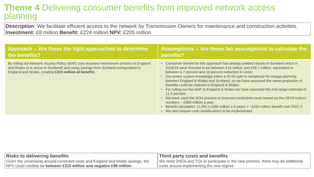### **Theme 4** Delivering consumer benefits from improved network access planning

**Description**: We facilitate efficient access to the network by Transmission Owners for maintenance and construction activities. **Investment**: £8 million **Benefit**: £224 million **NPV:** £205 million

| Approach – Are these the right approaches to determine                                                                                                                                                                                | Assumptions - Are these fair assumptions to calculate the                                                                                                                                                                                                                                                                                                                                                                                                                                                                                                                                                                                                                                                                                                                                                                                                                |  |  |  |
|---------------------------------------------------------------------------------------------------------------------------------------------------------------------------------------------------------------------------------------|--------------------------------------------------------------------------------------------------------------------------------------------------------------------------------------------------------------------------------------------------------------------------------------------------------------------------------------------------------------------------------------------------------------------------------------------------------------------------------------------------------------------------------------------------------------------------------------------------------------------------------------------------------------------------------------------------------------------------------------------------------------------------------------------------------------------------------------------------------------------------|--|--|--|
| the benefits?                                                                                                                                                                                                                         | benefits?                                                                                                                                                                                                                                                                                                                                                                                                                                                                                                                                                                                                                                                                                                                                                                                                                                                                |  |  |  |
| By rolling out Network Access Policy (NAP) cost recovery mechanism process to England<br>and Wales (it is active in Scotland) and using savings from Scotland extrapolated to<br>England and Wales, creating £224 million of benefits | Consumer benefit for this approach has already yielded results in Scotland which in<br>2018/19 were forecast to be between £16 million and £36.7 million, equivalent to<br>between a 7 percent and 16 percent reduction in costs.<br>• Our power system knowledge infers a 50:50 split in complexity for outage planning<br>between England & Wales and Scotland, so we have assumed the same proportion of<br>benefits could be realised in England & Wales.<br>• For rolling out the NAP to England & Wales we have assumed the mid-range estimate of<br>11.5 percent.<br>• We have used the NOA process to forecast constraints costs based on the 18/19 outturn<br>numbers $\sim$ £380 million a year<br>Benefit calculation: 11.5% x £380 million x 5 years = $\text{-}$ £224 million benefit over RIIO-2<br>• We also require code modifications to be implemented |  |  |  |

| <b>Risks to delivering benefits</b>                                              | Third party costs and benefits                                                   |  |  |  |
|----------------------------------------------------------------------------------|----------------------------------------------------------------------------------|--|--|--|
| Given the uncertainty around constraint costs and England and Wales savings, the | ∥We need DNOs and TOs to participate in the new process, there may be additional |  |  |  |
| NPV could credibly be between £310 million and negative £98 million              | costs around implementing the new regime                                         |  |  |  |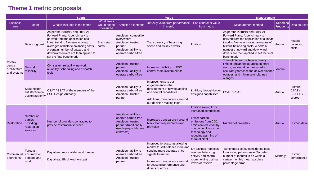#### **Theme 1 metric proposals**

|                                                  |                                                              | <b>Scope</b>                                                                                                                                                                                                                                                                           |                                        |                                                                                                                                     | Value                                                                                                                                                                                                      | <b>Measurement</b>                                                                                                                                                                               |                                                                                                                                                                                                                                                                                        |                        |                                                   |
|--------------------------------------------------|--------------------------------------------------------------|----------------------------------------------------------------------------------------------------------------------------------------------------------------------------------------------------------------------------------------------------------------------------------------|----------------------------------------|-------------------------------------------------------------------------------------------------------------------------------------|------------------------------------------------------------------------------------------------------------------------------------------------------------------------------------------------------------|--------------------------------------------------------------------------------------------------------------------------------------------------------------------------------------------------|----------------------------------------------------------------------------------------------------------------------------------------------------------------------------------------------------------------------------------------------------------------------------------------|------------------------|---------------------------------------------------|
| <b>Business</b><br>area                          | <b>Metric</b>                                                | What is included in the metric                                                                                                                                                                                                                                                         | What areas<br>would not be<br>measured | Ambition alignment                                                                                                                  | Industry value from performance<br>in metric                                                                                                                                                               | End consumer value<br>from metric                                                                                                                                                                | Measurement method                                                                                                                                                                                                                                                                     | Reporting<br>Frequency | Data sources                                      |
|                                                  | <b>Balancing cost</b>                                        | As per the 2018/19 and 2019-21<br>Forward Plans. A benchmark is<br>derived from the application of a<br>linear trend to five-year moving<br>averages of historic balancing costs.<br>A certain number of upward and<br>downward drivers are then applied to<br>set the final benchmark | <b>Black start</b><br>costs            | Ambition - competition<br>everywhere<br>Ambition - trusted<br>partner<br>Ambition - ability to<br>operate carbon-free               | Transparency of balancing<br>spend and its key drivers                                                                                                                                                     | <b>£million</b>                                                                                                                                                                                  | As per the 2018/19 and 2019-21<br>Forward Plans. A benchmark is<br>derived from the application of a linear<br>trend to five-year moving averages of<br>historic balancing costs. A certain<br>number of upward and downward<br>drivers are then applied to set the final<br>benchmark | Annual                 | <b>Historic</b><br>balancing<br>costs             |
| Control<br>centre<br>architecture<br>and systems | <b>Network</b><br>reliability                                | CNI system reliability, network<br>reliability, scheduling and dispatch<br>tools.                                                                                                                                                                                                      |                                        | Ambition - trusted<br>partner<br>Ambition - ability to<br>operate carbon-free                                                       | Increased visibility on ESO<br>control room system health                                                                                                                                                  |                                                                                                                                                                                                  | Time of planned outage accuracy ±<br>time of unplanned outages. In other<br>words, we would be measured to<br>accurately forecast and deliver planned<br>outages, and minimise unplanned<br>outages                                                                                    | Annual                 |                                                   |
|                                                  | Stakeholder<br>satisfaction on<br>design authority           | CSAT / SSAT of the members of the<br><b>ESO Design Authority</b>                                                                                                                                                                                                                       |                                        | Ambition - ability to<br>operate carbon-free<br>Ambition - trusted<br>partner                                                       | Improvements to our<br>engagement on the<br>development of new balancing<br>and control capabilities<br>Additional transparency around<br>our decision making logic                                        | £million, through better CSAT / SSAT<br>designed capabilities                                                                                                                                    |                                                                                                                                                                                                                                                                                        | Annual                 | <b>Historic</b><br>CSAT/<br>SSAT / SEIS<br>scores |
| Restoration                                      | Number of<br>parties<br>providing<br>restoration<br>services | Number of providers contracted to<br>provide restoration services                                                                                                                                                                                                                      |                                        | Ambition - ability to<br>operate carbon-free<br>Ambition - trusted<br>partner (traditionally<br>used opaque bilateral<br>contracts) | Increased transparency around<br>black start requirements and<br>provision                                                                                                                                 | £million saving from<br>increased competition<br>Lower carbon<br>emissions from CO2<br>emission reduction by<br>contracting low carbon<br>technology and<br>reducing warming of<br>thermal plant | Number of providers                                                                                                                                                                                                                                                                    | Annual                 | Historic data                                     |
| Commercial<br>operations                         | Forecast<br>accuracy for<br>demand and<br>wind               | Day ahead national demand forecast<br>Day ahead BMU wind forecast                                                                                                                                                                                                                      |                                        | Ambition - ability to<br>operate carbon-free<br>Ambition - trusted<br>partner                                                       | Improved forecasting, allowing<br>market to self-balance more and<br>sending more accurate price<br>signals to market<br>Increased transparency around<br>forecasting performance and<br>drivers of errors | £m savings from less<br>residual balancing<br>activity and control<br>room holding optimal<br>levels of reserve                                                                                  | Benchmark set by considering past<br>forecasting performance. Targeted<br>number of months to be within a<br>certain monthly mean absolute<br>percentage error                                                                                                                         | Monthly                | Historic<br>performance                           |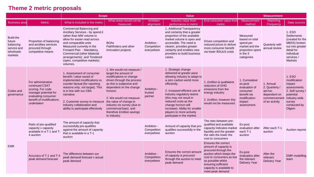#### **Theme 2 metric proposals**

|                                                                                |                                                                                                                                                     | <b>Scope</b>                                                                                                                                                                                                                                                                                                       |                                                                                                                                                                                                                                                                                                                                           | <b>Value</b>                            | <b>Measurement</b>                                                                                                                                                                                                                                                                                                                                              |                                                                                                                                                                                                                          |                                                                                                               |                                                                                        |                                                                                                                                                 |
|--------------------------------------------------------------------------------|-----------------------------------------------------------------------------------------------------------------------------------------------------|--------------------------------------------------------------------------------------------------------------------------------------------------------------------------------------------------------------------------------------------------------------------------------------------------------------------|-------------------------------------------------------------------------------------------------------------------------------------------------------------------------------------------------------------------------------------------------------------------------------------------------------------------------------------------|-----------------------------------------|-----------------------------------------------------------------------------------------------------------------------------------------------------------------------------------------------------------------------------------------------------------------------------------------------------------------------------------------------------------------|--------------------------------------------------------------------------------------------------------------------------------------------------------------------------------------------------------------------------|---------------------------------------------------------------------------------------------------------------|----------------------------------------------------------------------------------------|-------------------------------------------------------------------------------------------------------------------------------------------------|
| <b>Business area</b>                                                           | Metric                                                                                                                                              | What is included in the metric                                                                                                                                                                                                                                                                                     | What areas would not be<br>measured                                                                                                                                                                                                                                                                                                       | <b>Ambition</b><br>alignment            | Industry value from<br>performance in metric                                                                                                                                                                                                                                                                                                                    | End consumer value from<br>metric                                                                                                                                                                                        | <b>Measurement</b><br>method                                                                                  | Reporting<br>Frequency                                                                 | Data sources                                                                                                                                    |
| <b>Build the</b><br>future<br>balancing<br>service and<br>wholesale<br>markets | Proportion of balancing<br>and ancillary services<br>procured through<br>competitive means                                                          | Commercial Balancing and<br>Ancillary Services - by spend £<br>rather than MW volume to<br>allow for easier read across<br>and comparable units<br>Measured currently in the<br>Forward Plan - Mandatory,<br>Commercial (other bilaterial<br>arrangements) and Tendered<br>(open, competitive markets)<br>volumes. | <b>BOAs</b><br>Pathfinders and other<br>innovation projects                                                                                                                                                                                                                                                                               | Ambition -<br>Competition<br>everywhere | 1. Additional Transparency<br>and certainty that a greater<br>proportion of the available<br>market volume is open and<br>accessible. The need is<br>clearer, provides greater<br>certainty and enables new<br>providers to build business<br>cases.                                                                                                            | Drives competition and<br>reduced prices to deliver<br>more consumer benefit<br>via lower BSUoS costs                                                                                                                    | Measured<br>based on total<br>spend per<br>market and the<br>proportion spent<br>in the 3<br>categories       | Quarterly with<br>annual review                                                        | 1. ESO<br><b>Settlements</b><br>(created for the<br>MBSS) broken<br>out into greater<br>detail for<br>individual<br>services/<br><b>Markets</b> |
| Codes and<br>governance                                                        | For administration<br>continued CSAT<br>scoring. For code<br>manager potential for<br>evaluating consumer<br>benefit of modifications<br>undertaken | 1. Assessment of consumer<br>benefit / value saved of<br>implemented modifications vs.<br>counter factual (for reporting<br>reasons only, not target). This<br>is in line with our CBA<br>narrative.<br>2. Customer survey to measure<br>industry collaboration and<br>ability to participate effectively          | 1. We would not measure /<br>target the amount of<br>modifications or change<br>driven through the process<br>as this is subjective and<br>dependent on the change<br>horizon.<br>2. We would not measure<br>the value of change to<br>industry vis survey (due to<br>commercial bias). and<br>therefore £million savings<br>to industry. | Ambition -<br>trusted<br>partner        | 1. Strategic change<br>delivered at greater pace<br>allowing industry to adapt to<br>a zero carbon world more<br>efficiently.<br>2. Inceased efficient use of<br>industry regulatory teams<br>(this may not result in<br>reduced costs as the<br>change horizon will<br>increase). Ability for smaller<br>players to more actively<br>particpate in the market. | 1. £million & qualitative<br>reduction of GHG<br>emissions from the<br>energy industry.<br>2. £million, however this<br>would not be measured.                                                                           | 1. Cumulative<br>ex-post<br>evaluation of<br>consumer<br>benefit via<br>modification<br>impact<br>assessment. | 1. Annual<br>2. Quarterly /<br>ad-hoc<br>dependent on<br>commencemen<br>of an activity | 1. ESO<br>modification<br>impact<br>assessments<br>2. Self survey /<br>potential<br>industry wide<br>survey<br>conducted by<br>Ofgem            |
|                                                                                | Ratio of pre-qualified<br>capacity v capacity<br>available in a T-1 and T-<br>4 auction                                                             | The amount of capacity that<br>successfully pre-qualifies<br>against the amount of capacity<br>that is available in a T-1<br>auction                                                                                                                                                                               |                                                                                                                                                                                                                                                                                                                                           | Ambition -<br>Competition<br>everywhere | Amount of capacity that pre-<br>qualifies successfully in the<br>auction                                                                                                                                                                                                                                                                                        | The ratio between pre-<br>qualified and available<br>capacity indicates market<br>liquidity and the greater<br>the ratio the lower the<br>cost to consumers                                                              | Ex-post<br>evaluation after<br>each T-1<br>auction                                                            | After each T-1<br>auction                                                              | Auction reports                                                                                                                                 |
| <b>EMR</b>                                                                     | Accuracy of T-1 and T-4<br>peak demand forecast                                                                                                     | The difference between our<br>peak demand forecast v actual<br>peak demand                                                                                                                                                                                                                                         |                                                                                                                                                                                                                                                                                                                                           | Ambition -<br>Competition<br>everywhere | Ensures the correct amount<br>of capacity is procured<br>through the auction to meet<br>peak demand                                                                                                                                                                                                                                                             | Ensures the correct<br>amount of capacity is<br>procured through the<br>auction which keeps the<br>cost to consumers as low<br>as possible whilst<br>ensuring sufficient<br>capacity is available to<br>meet peak demand | Ex-post<br>evaluation after<br>the relevant<br><b>Delivery Year</b>                                           | After the<br>relevant<br><b>Delivery Year</b>                                          | <b>EMR</b> modelling<br>team                                                                                                                    |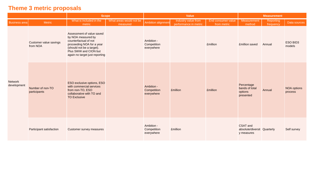#### **Theme 3 metric proposals**

|                        |                                    | <b>Scope</b>                                                                                                                                                                                  |                                     | Value                                   |                                              |                                          | <b>Measurement</b>                                    |                        |                               |
|------------------------|------------------------------------|-----------------------------------------------------------------------------------------------------------------------------------------------------------------------------------------------|-------------------------------------|-----------------------------------------|----------------------------------------------|------------------------------------------|-------------------------------------------------------|------------------------|-------------------------------|
| <b>Business area</b>   | Metric                             | What is included in the<br>metric                                                                                                                                                             | What areas would not be<br>measured | Ambition alignment                      | Industry value from<br>performance in metric | <b>End consumer value</b><br>from metric | Measurement<br>method                                 | Reporting<br>frequency | Data sources                  |
| Network<br>development | Customer value savings<br>from NOA | Assessment of value saved<br>by NOA measured by<br>counterfactual of not<br>proceeding NOA for a year<br>(should not be a target).<br>Plus SWW and CION but<br>again no target just reporting |                                     | Ambition -<br>Competition<br>everywhere |                                              | <b>£million</b>                          | <b>£million</b> saved                                 | Annual                 | ESO BID3<br>models            |
|                        | Number of non-TO<br>participants   | <b>ESO exclusive options, ESO</b><br>with commercial services<br>from non-TO, ESO<br>collaborative with TO and<br><b>TO Exclusive</b>                                                         |                                     | Ambition -<br>Competition<br>everywhere | <b>£million</b>                              | <b>£million</b>                          | Percentage<br>bands of total<br>options<br>presented  | Annual                 | <b>NOA options</b><br>process |
|                        | Participant satisfaction           | Customer survey measures                                                                                                                                                                      |                                     | Ambition -<br>Competition<br>everywhere | <b>£million</b>                              |                                          | CSAT and<br>absolute/diversit Quarterly<br>y measures |                        | Self survey                   |